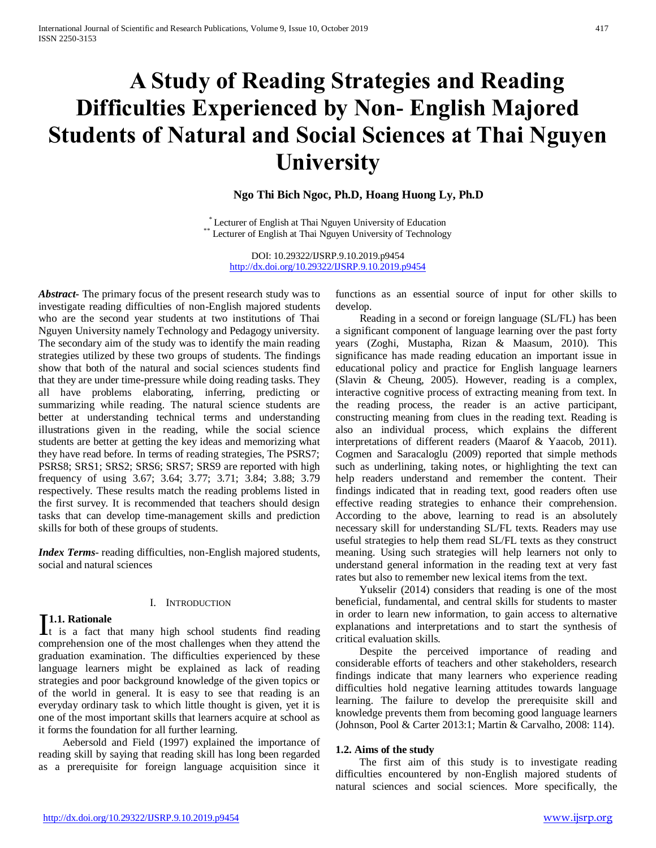# **A Study of Reading Strategies and Reading Difficulties Experienced by Non- English Majored Students of Natural and Social Sciences at Thai Nguyen University**

## **Ngo Thi Bich Ngoc, Ph.D, Hoang Huong Ly, Ph.D**

\* Lecturer of English at Thai Nguyen University of Education \*\* Lecturer of English at Thai Nguyen University of Technology

> DOI: 10.29322/IJSRP.9.10.2019.p9454 <http://dx.doi.org/10.29322/IJSRP.9.10.2019.p9454>

*Abstract***-** The primary focus of the present research study was to investigate reading difficulties of non-English majored students who are the second year students at two institutions of Thai Nguyen University namely Technology and Pedagogy university. The secondary aim of the study was to identify the main reading strategies utilized by these two groups of students. The findings show that both of the natural and social sciences students find that they are under time-pressure while doing reading tasks. They all have problems elaborating, inferring, predicting or summarizing while reading. The natural science students are better at understanding technical terms and understanding illustrations given in the reading, while the social science students are better at getting the key ideas and memorizing what they have read before. In terms of reading strategies, The PSRS7; PSRS8; SRS1; SRS2; SRS6; SRS7; SRS9 are reported with high frequency of using 3.67; 3.64; 3.77; 3.71; 3.84; 3.88; 3.79 respectively. These results match the reading problems listed in the first survey. It is recommended that teachers should design tasks that can develop time-management skills and prediction skills for both of these groups of students.

*Index Terms*- reading difficulties, non-English majored students, social and natural sciences

## **1.1. Rationale**

## I. INTRODUCTION

**I1.1. Rationale**<br> **It** is a fact that many high school students find reading comprehension one of the most challenges when they attend the graduation examination. The difficulties experienced by these language learners might be explained as lack of reading strategies and poor background knowledge of the given topics or of the world in general. It is easy to see that reading is an everyday ordinary task to which little thought is given, yet it is one of the most important skills that learners acquire at school as it forms the foundation for all further learning.

 Aebersold and Field (1997) explained the importance of reading skill by saying that reading skill has long been regarded as a prerequisite for foreign language acquisition since it

functions as an essential source of input for other skills to develop.

 Reading in a second or foreign language (SL/FL) has been a significant component of language learning over the past forty years (Zoghi, Mustapha, Rizan & Maasum, 2010). This significance has made reading education an important issue in educational policy and practice for English language learners (Slavin & Cheung, 2005). However, reading is a complex, interactive cognitive process of extracting meaning from text. In the reading process, the reader is an active participant, constructing meaning from clues in the reading text. Reading is also an individual process, which explains the different interpretations of different readers (Maarof & Yaacob, 2011). Cogmen and Saracaloglu (2009) reported that simple methods such as underlining, taking notes, or highlighting the text can help readers understand and remember the content. Their findings indicated that in reading text, good readers often use effective reading strategies to enhance their comprehension. According to the above, learning to read is an absolutely necessary skill for understanding SL/FL texts. Readers may use useful strategies to help them read SL/FL texts as they construct meaning. Using such strategies will help learners not only to understand general information in the reading text at very fast rates but also to remember new lexical items from the text.

 Yukselir (2014) considers that reading is one of the most beneficial, fundamental, and central skills for students to master in order to learn new information, to gain access to alternative explanations and interpretations and to start the synthesis of critical evaluation skills.

 Despite the perceived importance of reading and considerable efforts of teachers and other stakeholders, research findings indicate that many learners who experience reading difficulties hold negative learning attitudes towards language learning. The failure to develop the prerequisite skill and knowledge prevents them from becoming good language learners (Johnson, Pool & Carter 2013:1; Martin & Carvalho, 2008: 114).

#### **1.2. Aims of the study**

 The first aim of this study is to investigate reading difficulties encountered by non-English majored students of natural sciences and social sciences. More specifically, the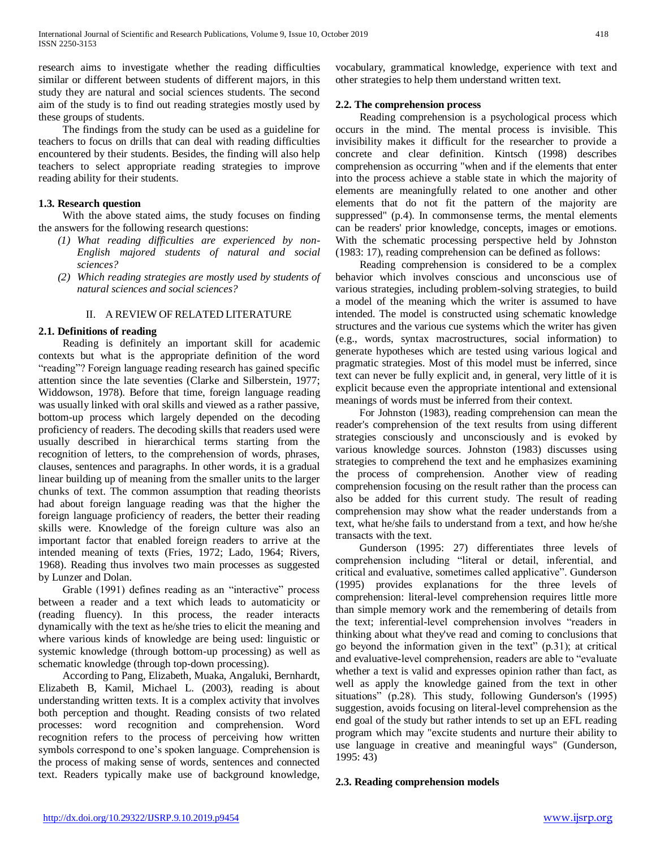research aims to investigate whether the reading difficulties similar or different between students of different majors, in this study they are natural and social sciences students. The second aim of the study is to find out reading strategies mostly used by these groups of students.

 The findings from the study can be used as a guideline for teachers to focus on drills that can deal with reading difficulties encountered by their students. Besides, the finding will also help teachers to select appropriate reading strategies to improve reading ability for their students.

## **1.3. Research question**

 With the above stated aims, the study focuses on finding the answers for the following research questions:

- *(1) What reading difficulties are experienced by non-English majored students of natural and social sciences?*
- *(2) Which reading strategies are mostly used by students of natural sciences and social sciences?*

## II. A REVIEW OF RELATED LITERATURE

## **2.1. Definitions of reading**

 Reading is definitely an important skill for academic contexts but what is the appropriate definition of the word "reading"? Foreign language reading research has gained specific attention since the late seventies (Clarke and Silberstein, 1977; Widdowson, 1978). Before that time, foreign language reading was usually linked with oral skills and viewed as a rather passive, bottom-up process which largely depended on the decoding proficiency of readers. The decoding skills that readers used were usually described in hierarchical terms starting from the recognition of letters, to the comprehension of words, phrases, clauses, sentences and paragraphs. In other words, it is a gradual linear building up of meaning from the smaller units to the larger chunks of text. The common assumption that reading theorists had about foreign language reading was that the higher the foreign language proficiency of readers, the better their reading skills were. Knowledge of the foreign culture was also an important factor that enabled foreign readers to arrive at the intended meaning of texts (Fries, 1972; Lado, 1964; Rivers, 1968). Reading thus involves two main processes as suggested by Lunzer and Dolan.

 Grable (1991) defines reading as an "interactive" process between a reader and a text which leads to automaticity or (reading fluency). In this process, the reader interacts dynamically with the text as he/she tries to elicit the meaning and where various kinds of knowledge are being used: linguistic or systemic knowledge (through bottom-up processing) as well as schematic knowledge (through top-down processing).

 According to Pang, Elizabeth, Muaka, Angaluki, Bernhardt, Elizabeth B, Kamil, Michael L. (2003), reading is about understanding written texts. It is a complex activity that involves both perception and thought. Reading consists of two related processes: word recognition and comprehension. Word recognition refers to the process of perceiving how written symbols correspond to one's spoken language. Comprehension is the process of making sense of words, sentences and connected text. Readers typically make use of background knowledge,

vocabulary, grammatical knowledge, experience with text and other strategies to help them understand written text.

## **2.2. The comprehension process**

 Reading comprehension is a psychological process which occurs in the mind. The mental process is invisible. This invisibility makes it difficult for the researcher to provide a concrete and clear definition. Kintsch (1998) describes comprehension as occurring "when and if the elements that enter into the process achieve a stable state in which the majority of elements are meaningfully related to one another and other elements that do not fit the pattern of the majority are suppressed" (p.4). In commonsense terms, the mental elements can be readers' prior knowledge, concepts, images or emotions. With the schematic processing perspective held by Johnston (1983: 17), reading comprehension can be defined as follows:

 Reading comprehension is considered to be a complex behavior which involves conscious and unconscious use of various strategies, including problem-solving strategies, to build a model of the meaning which the writer is assumed to have intended. The model is constructed using schematic knowledge structures and the various cue systems which the writer has given (e.g., words, syntax macrostructures, social information) to generate hypotheses which are tested using various logical and pragmatic strategies. Most of this model must be inferred, since text can never be fully explicit and, in general, very little of it is explicit because even the appropriate intentional and extensional meanings of words must be inferred from their context.

 For Johnston (1983), reading comprehension can mean the reader's comprehension of the text results from using different strategies consciously and unconsciously and is evoked by various knowledge sources. Johnston (1983) discusses using strategies to comprehend the text and he emphasizes examining the process of comprehension. Another view of reading comprehension focusing on the result rather than the process can also be added for this current study. The result of reading comprehension may show what the reader understands from a text, what he/she fails to understand from a text, and how he/she transacts with the text.

 Gunderson (1995: 27) differentiates three levels of comprehension including "literal or detail, inferential, and critical and evaluative, sometimes called applicative". Gunderson (1995) provides explanations for the three levels of comprehension: literal-level comprehension requires little more than simple memory work and the remembering of details from the text; inferential-level comprehension involves "readers in thinking about what they've read and coming to conclusions that go beyond the information given in the text" (p.31); at critical and evaluative-level comprehension, readers are able to "evaluate whether a text is valid and expresses opinion rather than fact, as well as apply the knowledge gained from the text in other situations" (p.28). This study, following Gunderson's (1995) suggestion, avoids focusing on literal-level comprehension as the end goal of the study but rather intends to set up an EFL reading program which may "excite students and nurture their ability to use language in creative and meaningful ways" (Gunderson, 1995: 43)

## **2.3. Reading comprehension models**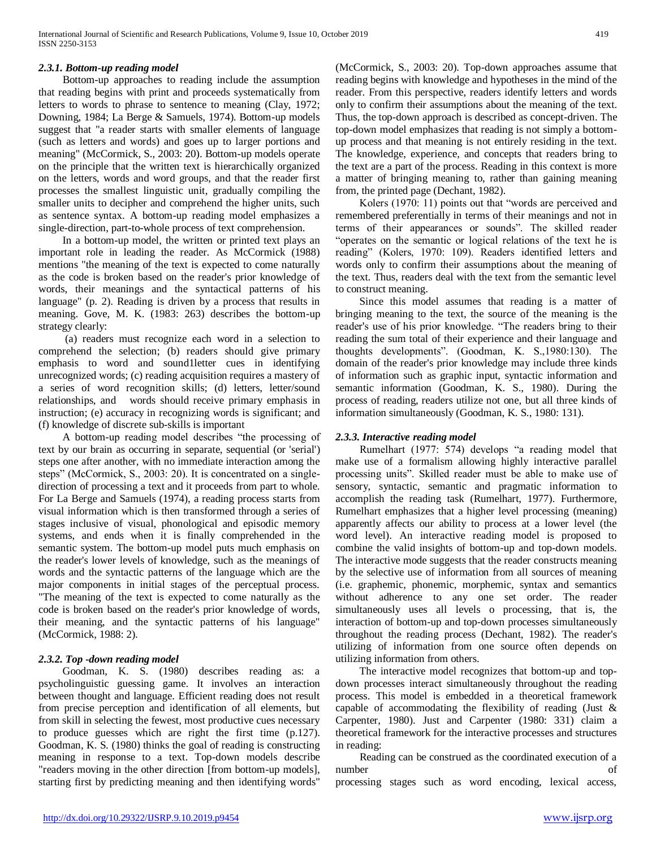## *2.3.1. Bottom-up reading model*

 Bottom-up approaches to reading include the assumption that reading begins with print and proceeds systematically from letters to words to phrase to sentence to meaning (Clay, 1972; Downing, 1984; La Berge & Samuels, 1974). Bottom-up models suggest that "a reader starts with smaller elements of language (such as letters and words) and goes up to larger portions and meaning" (McCormick, S., 2003: 20). Bottom-up models operate on the principle that the written text is hierarchically organized on the letters, words and word groups, and that the reader first processes the smallest linguistic unit, gradually compiling the smaller units to decipher and comprehend the higher units, such as sentence syntax. A bottom-up reading model emphasizes a single-direction, part-to-whole process of text comprehension.

 In a bottom-up model, the written or printed text plays an important role in leading the reader. As McCormick (1988) mentions "the meaning of the text is expected to come naturally as the code is broken based on the reader's prior knowledge of words, their meanings and the syntactical patterns of his language" (p. 2). Reading is driven by a process that results in meaning. Gove, M. K. (1983: 263) describes the bottom-up strategy clearly:

 (a) readers must recognize each word in a selection to comprehend the selection; (b) readers should give primary emphasis to word and sound1letter cues in identifying unrecognized words; (c) reading acquisition requires a mastery of a series of word recognition skills; (d) letters, letter/sound relationships, and words should receive primary emphasis in instruction; (e) accuracy in recognizing words is significant; and (f) knowledge of discrete sub-skills is important

 A bottom-up reading model describes "the processing of text by our brain as occurring in separate, sequential (or 'serial') steps one after another, with no immediate interaction among the steps" (McCormick, S., 2003: 20). It is concentrated on a singledirection of processing a text and it proceeds from part to whole. For La Berge and Samuels (1974), a reading process starts from visual information which is then transformed through a series of stages inclusive of visual, phonological and episodic memory systems, and ends when it is finally comprehended in the semantic system. The bottom-up model puts much emphasis on the reader's lower levels of knowledge, such as the meanings of words and the syntactic patterns of the language which are the major components in initial stages of the perceptual process. "The meaning of the text is expected to come naturally as the code is broken based on the reader's prior knowledge of words, their meaning, and the syntactic patterns of his language" (McCormick, 1988: 2).

## *2.3.2. Top -down reading model*

 Goodman, K. S. (1980) describes reading as: a psycholinguistic guessing game. It involves an interaction between thought and language. Efficient reading does not result from precise perception and identification of all elements, but from skill in selecting the fewest, most productive cues necessary to produce guesses which are right the first time (p.127). Goodman, K. S. (1980) thinks the goal of reading is constructing meaning in response to a text. Top-down models describe "readers moving in the other direction [from bottom-up models], starting first by predicting meaning and then identifying words"

(McCormick, S., 2003: 20). Top-down approaches assume that reading begins with knowledge and hypotheses in the mind of the reader. From this perspective, readers identify letters and words only to confirm their assumptions about the meaning of the text. Thus, the top-down approach is described as concept-driven. The top-down model emphasizes that reading is not simply a bottomup process and that meaning is not entirely residing in the text. The knowledge, experience, and concepts that readers bring to the text are a part of the process. Reading in this context is more a matter of bringing meaning to, rather than gaining meaning from, the printed page (Dechant, 1982).

 Kolers (1970: 11) points out that "words are perceived and remembered preferentially in terms of their meanings and not in terms of their appearances or sounds". The skilled reader "operates on the semantic or logical relations of the text he is reading" (Kolers, 1970: 109). Readers identified letters and words only to confirm their assumptions about the meaning of the text. Thus, readers deal with the text from the semantic level to construct meaning.

 Since this model assumes that reading is a matter of bringing meaning to the text, the source of the meaning is the reader's use of his prior knowledge. "The readers bring to their reading the sum total of their experience and their language and thoughts developments". (Goodman, K. S.,1980:130). The domain of the reader's prior knowledge may include three kinds of information such as graphic input, syntactic information and semantic information (Goodman, K. S., 1980). During the process of reading, readers utilize not one, but all three kinds of information simultaneously (Goodman, K. S., 1980: 131).

## *2.3.3. Interactive reading model*

 Rumelhart (1977: 574) develops "a reading model that make use of a formalism allowing highly interactive parallel processing units". Skilled reader must be able to make use of sensory, syntactic, semantic and pragmatic information to accomplish the reading task (Rumelhart, 1977). Furthermore, Rumelhart emphasizes that a higher level processing (meaning) apparently affects our ability to process at a lower level (the word level). An interactive reading model is proposed to combine the valid insights of bottom-up and top-down models. The interactive mode suggests that the reader constructs meaning by the selective use of information from all sources of meaning (i.e. graphemic, phonemic, morphemic, syntax and semantics without adherence to any one set order. The reader simultaneously uses all levels o processing, that is, the interaction of bottom-up and top-down processes simultaneously throughout the reading process (Dechant, 1982). The reader's utilizing of information from one source often depends on utilizing information from others.

 The interactive model recognizes that bottom-up and topdown processes interact simultaneously throughout the reading process. This model is embedded in a theoretical framework capable of accommodating the flexibility of reading (Just  $\&$ Carpenter, 1980). Just and Carpenter (1980: 331) claim a theoretical framework for the interactive processes and structures in reading:

 Reading can be construed as the coordinated execution of a number of

processing stages such as word encoding, lexical access,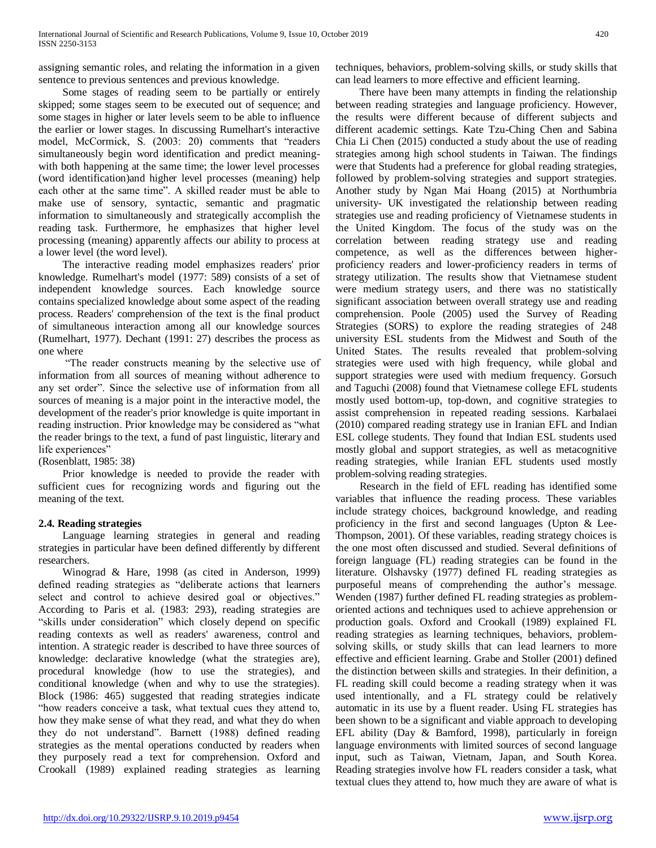assigning semantic roles, and relating the information in a given sentence to previous sentences and previous knowledge.

 Some stages of reading seem to be partially or entirely skipped; some stages seem to be executed out of sequence; and some stages in higher or later levels seem to be able to influence the earlier or lower stages. In discussing Rumelhart's interactive model, McCormick, S. (2003: 20) comments that "readers simultaneously begin word identification and predict meaningwith both happening at the same time; the lower level processes (word identification)and higher level processes (meaning) help each other at the same time". A skilled reader must be able to make use of sensory, syntactic, semantic and pragmatic information to simultaneously and strategically accomplish the reading task. Furthermore, he emphasizes that higher level processing (meaning) apparently affects our ability to process at a lower level (the word level).

 The interactive reading model emphasizes readers' prior knowledge. Rumelhart's model (1977: 589) consists of a set of independent knowledge sources. Each knowledge source contains specialized knowledge about some aspect of the reading process. Readers' comprehension of the text is the final product of simultaneous interaction among all our knowledge sources (Rumelhart, 1977). Dechant (1991: 27) describes the process as one where

 "The reader constructs meaning by the selective use of information from all sources of meaning without adherence to any set order". Since the selective use of information from all sources of meaning is a major point in the interactive model, the development of the reader's prior knowledge is quite important in reading instruction. Prior knowledge may be considered as "what the reader brings to the text, a fund of past linguistic, literary and life experiences"

(Rosenblatt, 1985: 38)

 Prior knowledge is needed to provide the reader with sufficient cues for recognizing words and figuring out the meaning of the text.

## **2.4. Reading strategies**

 Language learning strategies in general and reading strategies in particular have been defined differently by different researchers.

 Winograd & Hare, 1998 (as cited in Anderson, 1999) defined reading strategies as "deliberate actions that learners select and control to achieve desired goal or objectives." According to Paris et al. (1983: 293), reading strategies are "skills under consideration" which closely depend on specific reading contexts as well as readers' awareness, control and intention. A strategic reader is described to have three sources of knowledge: declarative knowledge (what the strategies are), procedural knowledge (how to use the strategies), and conditional knowledge (when and why to use the strategies). Block (1986: 465) suggested that reading strategies indicate "how readers conceive a task, what textual cues they attend to, how they make sense of what they read, and what they do when they do not understand". Barnett (1988) defined reading strategies as the mental operations conducted by readers when they purposely read a text for comprehension. Oxford and Crookall (1989) explained reading strategies as learning

techniques, behaviors, problem-solving skills, or study skills that can lead learners to more effective and efficient learning.

 There have been many attempts in finding the relationship between reading strategies and language proficiency. However, the results were different because of different subjects and different academic settings. Kate Tzu-Ching Chen and Sabina Chia Li Chen (2015) conducted a study about the use of reading strategies among high school students in Taiwan. The findings were that Students had a preference for global reading strategies, followed by problem-solving strategies and support strategies. Another study by Ngan Mai Hoang (2015) at Northumbria university- UK investigated the relationship between reading strategies use and reading proficiency of Vietnamese students in the United Kingdom. The focus of the study was on the correlation between reading strategy use and reading competence, as well as the differences between higherproficiency readers and lower-proficiency readers in terms of strategy utilization. The results show that Vietnamese student were medium strategy users, and there was no statistically significant association between overall strategy use and reading comprehension. Poole (2005) used the Survey of Reading Strategies (SORS) to explore the reading strategies of 248 university ESL students from the Midwest and South of the United States. The results revealed that problem-solving strategies were used with high frequency, while global and support strategies were used with medium frequency. Gorsuch and Taguchi (2008) found that Vietnamese college EFL students mostly used bottom-up, top-down, and cognitive strategies to assist comprehension in repeated reading sessions. Karbalaei (2010) compared reading strategy use in Iranian EFL and Indian ESL college students. They found that Indian ESL students used mostly global and support strategies, as well as metacognitive reading strategies, while Iranian EFL students used mostly problem-solving reading strategies.

 Research in the field of EFL reading has identified some variables that influence the reading process. These variables include strategy choices, background knowledge, and reading proficiency in the first and second languages (Upton & Lee-Thompson, 2001). Of these variables, reading strategy choices is the one most often discussed and studied. Several definitions of foreign language (FL) reading strategies can be found in the literature. Olshavsky (1977) defined FL reading strategies as purposeful means of comprehending the author's message. Wenden (1987) further defined FL reading strategies as problemoriented actions and techniques used to achieve apprehension or production goals. Oxford and Crookall (1989) explained FL reading strategies as learning techniques, behaviors, problemsolving skills, or study skills that can lead learners to more effective and efficient learning. Grabe and Stoller (2001) defined the distinction between skills and strategies. In their definition, a FL reading skill could become a reading strategy when it was used intentionally, and a FL strategy could be relatively automatic in its use by a fluent reader. Using FL strategies has been shown to be a significant and viable approach to developing EFL ability (Day & Bamford, 1998), particularly in foreign language environments with limited sources of second language input, such as Taiwan, Vietnam, Japan, and South Korea. Reading strategies involve how FL readers consider a task, what textual clues they attend to, how much they are aware of what is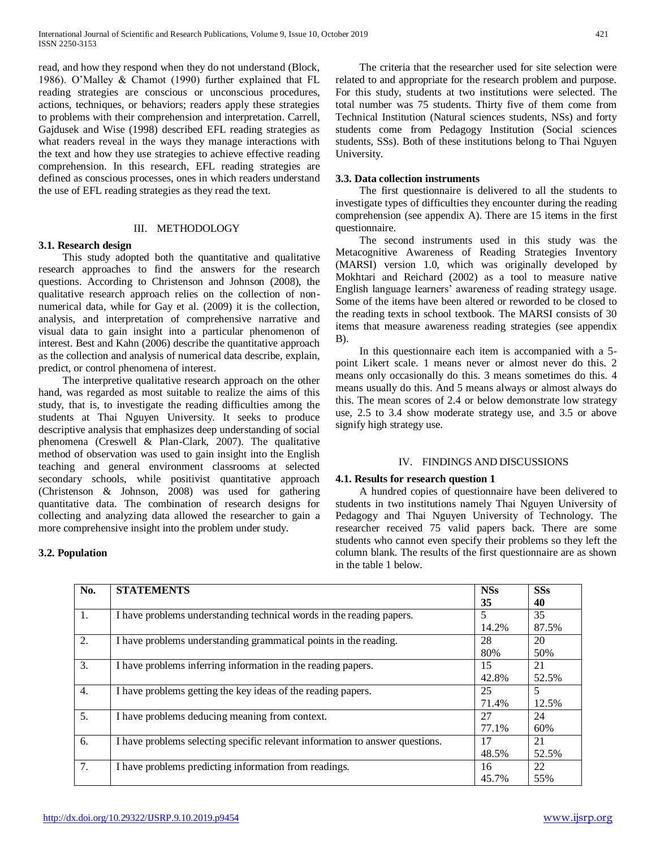read, and how they respond when they do not understand (Block, 1986). O'Malley & Chamot (1990) further explained that FL reading strategies are conscious or unconscious procedures, actions, techniques, or behaviors; readers apply these strategies to problems with their comprehension and interpretation. Carrell, Gajdusek and Wise (1998) described EFL reading strategies as what readers reveal in the ways they manage interactions with the text and how they use strategies to achieve effective reading comprehension. In this research, EFL reading strategies are defined as conscious processes, ones in which readers understand the use of EFL reading strategies as they read the text.

## III. METHODOLOGY

## **3.1. Research design**

 This study adopted both the quantitative and qualitative research approaches to find the answers for the research questions. According to Christenson and Johnson (2008), the qualitative research approach relies on the collection of nonnumerical data, while for Gay et al. (2009) it is the collection, analysis, and interpretation of comprehensive narrative and visual data to gain insight into a particular phenomenon of interest. Best and Kahn (2006) describe the quantitative approach as the collection and analysis of numerical data describe, explain, predict, or control phenomena of interest.

The interpretive qualitative research approach on the other hand, was regarded as most suitable to realize the aims of this study, that is, to investigate the reading difficulties among the students at Thai Nguyen University. It seeks to produce descriptive analysis that emphasizes deep understanding of social phenomena (Creswell & Plan-Clark, 2007). The qualitative method of observation was used to gain insight into the English teaching and general environment classrooms at selected secondary schools, while positivist quantitative approach (Christenson & Johnson, 2008) was used for gathering quantitative data. The combination of research designs for collecting and analyzing data allowed the researcher to gain a more comprehensive insight into the problem under study.

## **3.2. Population**

 The criteria that the researcher used for site selection were related to and appropriate for the research problem and purpose. For this study, students at two institutions were selected. The total number was 75 students. Thirty five of them come from Technical Institution (Natural sciences students, NSs) and forty students come from Pedagogy Institution (Social sciences students, SSs). Both of these institutions belong to Thai Nguyen University.

## **3.3. Data collection instruments**

 The first questionnaire is delivered to all the students to investigate types of difficulties they encounter during the reading comprehension (see appendix A). There are 15 items in the first questionnaire.

 The second instruments used in this study was the Metacognitive Awareness of Reading Strategies Inventory (MARSI) version 1.0, which was originally developed by Mokhtari and Reichard (2002) as a tool to measure native English language learners' awareness of reading strategy usage. Some of the items have been altered or reworded to be closed to the reading texts in school textbook. The MARSI consists of 30 items that measure awareness reading strategies (see appendix B).

 In this questionnaire each item is accompanied with a 5 point Likert scale. 1 means never or almost never do this. 2 means only occasionally do this. 3 means sometimes do this. 4 means usually do this. And 5 means always or almost always do this. The mean scores of 2.4 or below demonstrate low strategy use, 2.5 to 3.4 show moderate strategy use, and 3.5 or above signify high strategy use.

## IV. FINDINGS AND DISCUSSIONS

#### **4.1. Results for research question 1**

 A hundred copies of questionnaire have been delivered to students in two institutions namely Thai Nguyen University of Pedagogy and Thai Nguyen University of Technology. The researcher received 75 valid papers back. There are some students who cannot even specify their problems so they left the column blank. The results of the first questionnaire are as shown in the table 1 below.

| No.              | <b>STATEMENTS</b>                                                            | <b>NSs</b> | <b>SSs</b> |
|------------------|------------------------------------------------------------------------------|------------|------------|
|                  |                                                                              | 35         | 40         |
| 1.               | I have problems understanding technical words in the reading papers.         | 5          | 35         |
|                  |                                                                              | 14.2%      | 87.5%      |
| 2.               | I have problems understanding grammatical points in the reading.             | 28         | 20         |
|                  |                                                                              | 80%        | 50%        |
| 3.               | I have problems inferring information in the reading papers.                 | 15         | 21         |
|                  |                                                                              | 42.8%      | 52.5%      |
| $\overline{4}$ . | I have problems getting the key ideas of the reading papers.                 | 25         | 5          |
|                  |                                                                              | 71.4%      | 12.5%      |
| 5.               | I have problems deducing meaning from context.                               | 27         | 24         |
|                  |                                                                              | 77.1%      | 60%        |
| 6.               | I have problems selecting specific relevant information to answer questions. | 17         | 21         |
|                  |                                                                              | 48.5%      | 52.5%      |
| 7.               | I have problems predicting information from readings.                        | 16         | 22         |
|                  |                                                                              | 45.7%      | 55%        |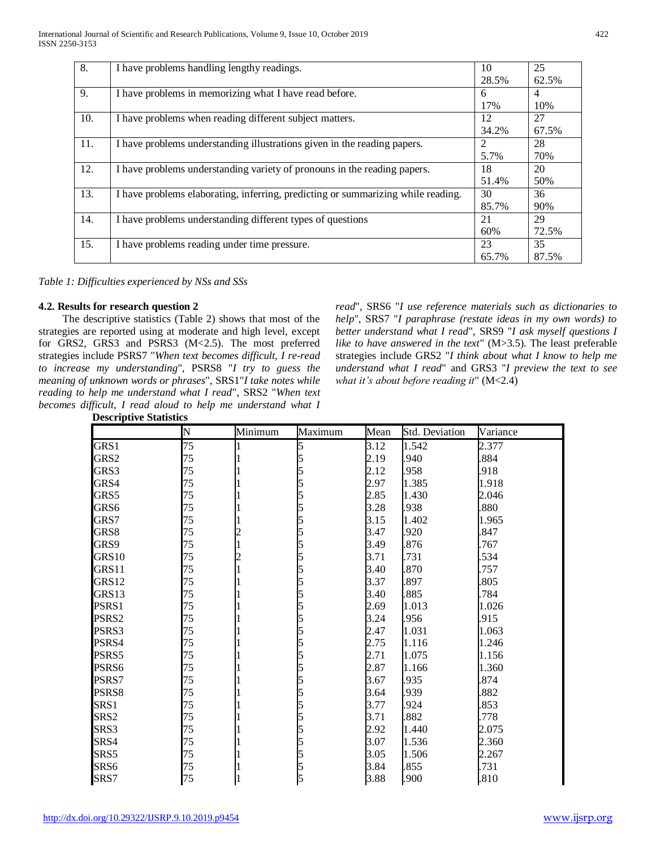| 8.  | I have problems handling lengthy readings.                                       | 10    | 25             |
|-----|----------------------------------------------------------------------------------|-------|----------------|
|     |                                                                                  | 28.5% | 62.5%          |
| 9.  | I have problems in memorizing what I have read before.                           | 6     | $\overline{4}$ |
|     |                                                                                  | 17%   | 10%            |
| 10. | I have problems when reading different subject matters.                          | 12    | 27             |
|     |                                                                                  | 34.2% | 67.5%          |
| 11. | I have problems understanding illustrations given in the reading papers.         | 2     | 28             |
|     |                                                                                  | 5.7%  | 70%            |
| 12. | I have problems understanding variety of pronouns in the reading papers.         | 18    | 20             |
|     |                                                                                  | 51.4% | 50%            |
| 13. | I have problems elaborating, inferring, predicting or summarizing while reading. | 30    | 36             |
|     |                                                                                  | 85.7% | 90%            |
| 14. | I have problems understanding different types of questions                       | 21    | 29             |
|     |                                                                                  | 60%   | 72.5%          |
| 15. | I have problems reading under time pressure.                                     | 23    | 35             |
|     |                                                                                  | 65.7% | 87.5%          |

*Table 1: Difficulties experienced by NSs and SSs*

## **4.2. Results for research question 2**

 The descriptive statistics (Table 2) shows that most of the strategies are reported using at moderate and high level, except for GRS2, GRS3 and PSRS3 (M<2.5). The most preferred strategies include PSRS7 "*When text becomes difficult, I re-read to increase my understanding*", PSRS8 "*I try to guess the meaning of unknown words or phrases*", SRS1"*I take notes while reading to help me understand what I read*", SRS2 "*When text becomes difficult, I read aloud to help me understand what I*  **Descriptive Statistics** 

*read*", SRS6 "*I use reference materials such as dictionaries to help*", SRS7 "*I paraphrase (restate ideas in my own words) to better understand what I read*", SRS9 "*I ask myself questions I like to have answered in the text*" (M>3.5). The least preferable strategies include GRS2 "*I think about what I know to help me understand what I read*" and GRS3 "*I preview the text to see what it's about before reading it*" (M<2.4)

|                   | Ń  | Minimum | Maximum | Mean | <b>Std. Deviation</b> | Variance |
|-------------------|----|---------|---------|------|-----------------------|----------|
| GRS1              | 75 |         |         | 3.12 | 1.542                 | 2.377    |
| GRS2              | 75 |         |         | 2.19 | .940                  | .884     |
| GRS3              | 75 |         |         | 2.12 | .958                  | .918     |
| GRS4              | 75 |         |         | 2.97 | 1.385                 | 1.918    |
| GRS5              | 75 |         |         | 2.85 | 1.430                 | 2.046    |
| GRS6              | 75 |         |         | 3.28 | .938                  | .880     |
| GRS7              | 75 |         |         | 3.15 | 1.402                 | 1.965    |
| GRS8              | 75 |         |         | 3.47 | .920                  | 847      |
| GRS9              | 75 |         |         | 3.49 | .876                  | .767     |
| GRS <sub>10</sub> | 75 |         |         | 3.71 | 731                   | 534      |
| GRS11             | 75 |         |         | 3.40 | 870                   | .757     |
| GRS12             | 75 |         |         | 3.37 | .897                  | .805     |
| GRS13             | 75 |         |         | 3.40 | .885                  | .784     |
| PSRS1             | 75 |         |         | 2.69 | 1.013                 | 1.026    |
| PSRS2             | 75 |         |         | 3.24 | .956                  | .915     |
| PSRS3             | 75 |         |         | 2.47 | 1.031                 | 1.063    |
| PSRS4             | 75 |         |         | 2.75 | 1.116                 | 1.246    |
| PSRS5             | 75 |         |         | 2.71 | 1.075                 | 1.156    |
| PSRS6             | 75 |         |         | 2.87 | 1.166                 | 1.360    |
| PSRS7             | 75 |         |         | 3.67 | .935                  | 874      |
| PSRS8             | 75 |         |         | 3.64 | .939                  | 882      |
| SRS1              | 75 |         |         | 3.77 | 924                   | .853     |
| SRS <sub>2</sub>  | 75 |         |         | 3.71 | 882                   | .778     |
| SRS3              | 75 |         |         | 2.92 | 1.440                 | 2.075    |
| SRS4              | 75 |         |         | 3.07 | 1.536                 | 2.360    |
| SRS5              | 75 |         |         | 3.05 | 1.506                 | 2.267    |
| SRS6              | 75 |         |         | 3.84 | .855                  | .731     |
| SRS7              | 75 |         |         | 3.88 | .900                  | .810     |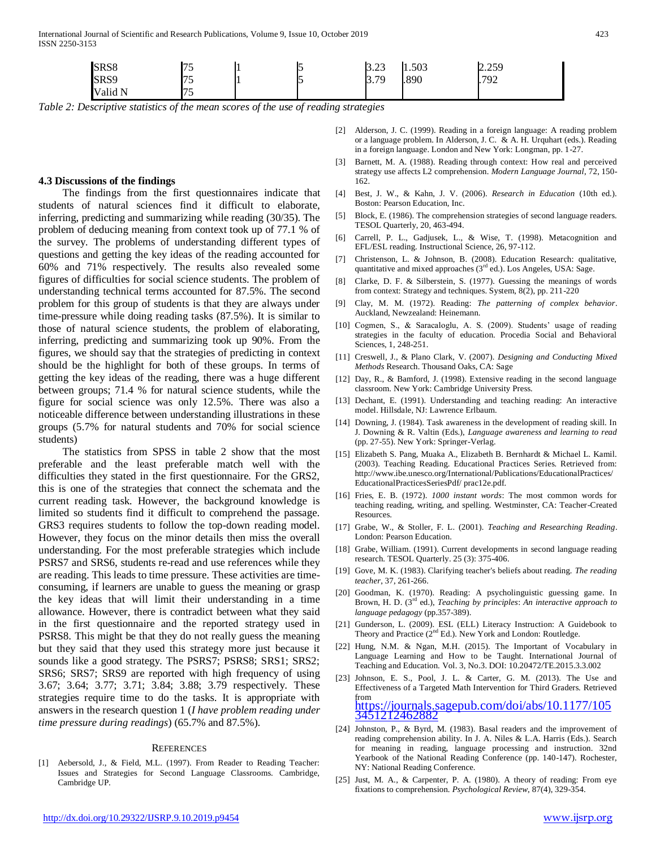| SRS8    | t c<br>ر ، |  | ר ה<br>ل∟.∠ا | 1.503 | 2.259 |  |
|---------|------------|--|--------------|-------|-------|--|
| SRS9    | 75<br>ر ،  |  | 2 70<br>J. I | .890  | .792  |  |
| Valid N | 75<br>ر_.  |  |              |       |       |  |

*Table 2: Descriptive statistics of the mean scores of the use of reading strategies*

#### **4.3 Discussions of the findings**

 The findings from the first questionnaires indicate that students of natural sciences find it difficult to elaborate, inferring, predicting and summarizing while reading (30/35). The problem of deducing meaning from context took up of 77.1 % of the survey. The problems of understanding different types of questions and getting the key ideas of the reading accounted for 60% and 71% respectively. The results also revealed some figures of difficulties for social science students. The problem of understanding technical terms accounted for 87.5%. The second problem for this group of students is that they are always under time-pressure while doing reading tasks (87.5%). It is similar to those of natural science students, the problem of elaborating, inferring, predicting and summarizing took up 90%. From the figures, we should say that the strategies of predicting in context should be the highlight for both of these groups. In terms of getting the key ideas of the reading, there was a huge different between groups; 71.4 % for natural science students, while the figure for social science was only 12.5%. There was also a noticeable difference between understanding illustrations in these groups (5.7% for natural students and 70% for social science students)

 The statistics from SPSS in table 2 show that the most preferable and the least preferable match well with the difficulties they stated in the first questionnaire. For the GRS2, this is one of the strategies that connect the schemata and the current reading task. However, the background knowledge is limited so students find it difficult to comprehend the passage. GRS3 requires students to follow the top-down reading model. However, they focus on the minor details then miss the overall understanding. For the most preferable strategies which include PSRS7 and SRS6, students re-read and use references while they are reading. This leads to time pressure. These activities are timeconsuming, if learners are unable to guess the meaning or grasp the key ideas that will limit their understanding in a time allowance. However, there is contradict between what they said in the first questionnaire and the reported strategy used in PSRS8. This might be that they do not really guess the meaning but they said that they used this strategy more just because it sounds like a good strategy. The PSRS7; PSRS8; SRS1; SRS2; SRS6; SRS7; SRS9 are reported with high frequency of using 3.67; 3.64; 3.77; 3.71; 3.84; 3.88; 3.79 respectively. These strategies require time to do the tasks. It is appropriate with answers in the research question 1 (*I have problem reading under time pressure during readings*) (65.7% and 87.5%).

#### **REFERENCES**

[1] Aebersold, J., & Field, M.L. (1997). From Reader to Reading Teacher: Issues and Strategies for Second Language Classrooms. Cambridge, Cambridge UP.

- [2] Alderson, J. C. (1999). Reading in a foreign language: A reading problem or a language problem. In Alderson, J. C. & A. H. Urquhart (eds.). Reading in a foreign language. London and New York: Longman, pp. 1-27.
- [3] Barnett, M. A. (1988). Reading through context: How real and perceived strategy use affects L2 comprehension. *Modern Language Journal*, 72, 150- 162.
- [4] Best, J. W., & Kahn, J. V. (2006). *Research in Education* (10th ed.). Boston: Pearson Education, Inc.
- [5] Block, E. (1986). The comprehension strategies of second language readers. TESOL Quarterly, 20, 463-494.
- [6] Carrell, P. L., Gadjusek, L., & Wise, T. (1998). Metacognition and EFL/ESL reading. Instructional Science, 26, 97-112.
- [7] Christenson, L. & Johnson, B. (2008). Education Research: qualitative, quantitative and mixed approaches  $(3<sup>rd</sup>$  ed.). Los Angeles, USA: Sage.
- [8] Clarke, D. F. & Silberstein, S. (1977). Guessing the meanings of words from context: Strategy and techniques. System, 8(2), pp. 211-220
- [9] Clay, M. M. (1972). Reading: *The patterning of complex behavior*. Auckland, Newzealand: Heinemann.
- [10] Cogmen, S., & Saracaloglu, A. S. (2009). Students' usage of reading strategies in the faculty of education. Procedia Social and Behavioral Sciences, 1, 248-251.
- [11] Creswell, J., & Plano Clark, V. (2007). *Designing and Conducting Mixed Methods* Research. Thousand Oaks, CA: Sage
- [12] Day, R., & Bamford, J. (1998). Extensive reading in the second language classroom. New York: Cambridge University Press.
- [13] Dechant, E. (1991). Understanding and teaching reading: An interactive model. Hillsdale, NJ: Lawrence Erlbaum.
- [14] Downing, J. (1984). Task awareness in the development of reading skill. In J. Downing & R. Valtin (Eds.), *Language awareness and learning to read* (pp. 27-55). New York: Springer-Verlag.
- [15] Elizabeth S. Pang, Muaka A., Elizabeth B. Bernhardt & Michael L. Kamil. (2003). Teaching Reading. Educational Practices Series. Retrieved from: http://www.ibe.unesco.org/International/Publications/EducationalPractices/ EducationalPracticesSeriesPdf/ prac12e.pdf.
- [16] Fries, E. B. (1972). *1000 instant words*: The most common words for teaching reading, writing, and spelling. Westminster, CA: Teacher-Created Resources.
- [17] Grabe, W., & Stoller, F. L. (2001). *Teaching and Researching Reading*. London: Pearson Education.
- [18] Grabe, William. (1991). Current developments in second language reading research. TESOL Quarterly. 25 (3): 375-406.
- [19] Gove, M. K. (1983). Clarifying teacher's beliefs about reading. *The reading teacher*, 37, 261-266.
- [20] Goodman, K. (1970). Reading: A psycholinguistic guessing game. In Brown, H. D. (3rd ed.), *Teaching by principles*: *An interactive approach to language pedagogy* (pp.357-389).
- [21] Gunderson, L. (2009). ESL (ELL) Literacy Instruction: A Guidebook to Theory and Practice (2nd Ed.). New York and London: Routledge.
- [22] Hung, N.M. & Ngan, M.H. (2015). The Important of Vocabulary in Language Learning and How to be Taught. International Journal of Teaching and Education. Vol. 3, No.3. DOI: 10.20472/TE.2015.3.3.002
- [23] Johnson, E. S., Pool, J. L. & Carter, G. M. (2013). The Use and Effectiveness of a Targeted Math Intervention for Third Graders. Retrieved from [https://journals.sagepub.com/doi/abs/10.1177/105](https://journals.sagepub.com/doi/abs/10.1177/1053451212462882) [3451212462882](https://journals.sagepub.com/doi/abs/10.1177/1053451212462882)
- [24] Johnston, P., & Byrd, M. (1983). Basal readers and the improvement of reading comprehension ability. In J. A. Niles & L.A. Harris (Eds.). Search for meaning in reading, language processing and instruction. 32nd Yearbook of the National Reading Conference (pp. 140-147). Rochester, NY: National Reading Conference.
- [25] Just, M. A., & Carpenter, P. A. (1980). A theory of reading: From eye fixations to comprehension. *Psychological Review*, 87(4), 329-354.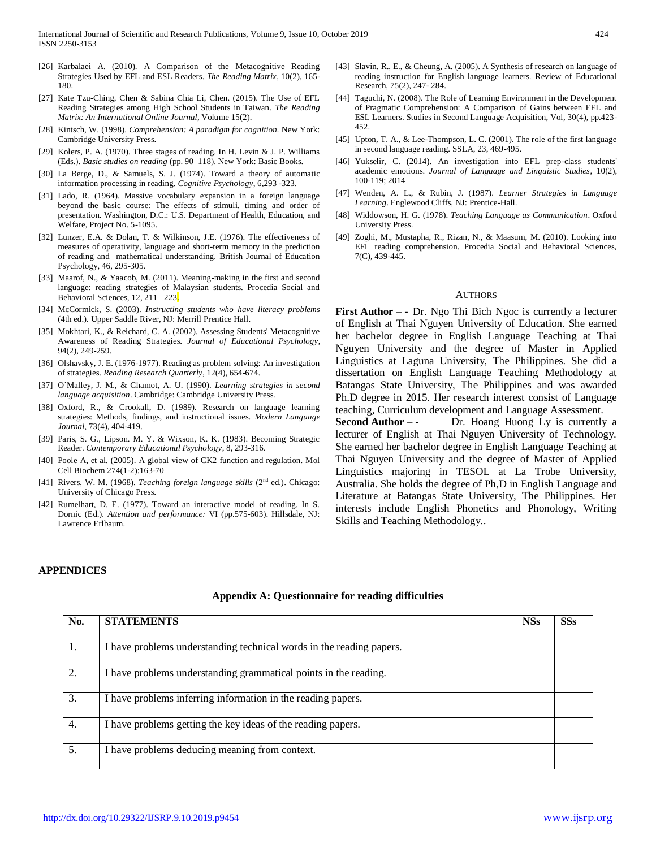- [26] Karbalaei A. (2010). A Comparison of the Metacognitive Reading Strategies Used by EFL and ESL Readers. *The Reading Matrix*, 10(2), 165- 180.
- [27] Kate Tzu-Ching, Chen & Sabina Chia Li, Chen. (2015). The Use of EFL Reading Strategies among High School Students in Taiwan. *The Reading Matrix: An International Online Journal*, Volume 15(2).
- [28] Kintsch, W. (1998). *Comprehension: A paradigm for cognition.* New York: Cambridge University Press.
- [29] Kolers, P. A. (1970). Three stages of reading. In H. Levin & J. P. Williams (Eds.). *Basic studies on reading* (pp. 90–118). New York: Basic Books.
- [30] La Berge, D., & Samuels, S. J. (1974). Toward a theory of automatic information processing in reading. *Cognitive Psychology*, 6,293 -323.
- [31] Lado, R. (1964). Massive vocabulary expansion in a foreign language beyond the basic course: The effects of stimuli, timing and order of presentation. Washington, D.C.: U.S. Department of Health, Education, and Welfare, Project No. 5-1095.
- [32] Lunzer, E.A. & Dolan, T. & Wilkinson, J.E. (1976). The effectiveness of measures of operativity, language and short-term memory in the prediction of reading and mathematical understanding. British Journal of Education Psychology, 46, 295-305.
- [33] Maarof, N., & Yaacob, M. (2011). Meaning-making in the first and second language: reading strategies of Malaysian students. Procedia Social and Behavioral Sciences, 12, 211-223.
- [34] McCormick, S. (2003). *Instructing students who have literacy problems*  (4th ed.). Upper Saddle River, NJ: Merrill Prentice Hall.
- [35] Mokhtari, K., & Reichard, C. A. (2002). Assessing Students' Metacognitive Awareness of Reading Strategies. *Journal of Educational Psychology*, 94(2), 249-259.
- [36] Olshavsky, J. E. (1976-1977). Reading as problem solving: An investigation of strategies. *Reading Research Quarterly*, 12(4), 654-674.
- [37] O´Malley, J. M., & Chamot, A. U. (1990). *Learning strategies in second language acquisition*. Cambridge: Cambridge University Press.
- [38] Oxford, R., & Crookall, D. (1989). Research on language learning strategies: Methods, findings, and instructional issues. *Modern Language Journal*, 73(4), 404-419.
- [39] Paris, S. G., Lipson. M. Y. & Wixson, K. K. (1983). Becoming Strategic Reader. *Contemporary Educational Psychology*, 8, 293-316.
- [40] Poole A, et al. (2005). A global view of CK2 function and regulation. Mol Cell Biochem 274(1-2):163-70
- [41] Rivers, W. M. (1968). *Teaching foreign language skills* (2<sup>nd</sup> ed.). Chicago: University of Chicago Press.
- [42] Rumelhart, D. E. (1977). Toward an interactive model of reading. In S. Dornic (Ed.). *Attention and performance:* VI (pp.575-603). Hillsdale, NJ: Lawrence Erlbaum.
- [43] Slavin, R., E., & Cheung, A. (2005). A Synthesis of research on language of reading instruction for English language learners. Review of Educational Research, 75(2), 247- 284.
- [44] Taguchi, N. (2008). The Role of Learning Environment in the Development of Pragmatic Comprehension: A Comparison of Gains between EFL and ESL Learners. Studies in Second Language Acquisition, Vol, 30(4), pp.423- 452.
- [45] Upton, T. A., & Lee-Thompson, L. C. (2001). The role of the first language in second language reading. SSLA, 23, 469-495.
- [46] Yukselir, C. (2014). An investigation into EFL prep-class students' academic emotions. *Journal of Language and Linguistic Studies*, 10(2), 100-119; 2014
- [47] Wenden, A. L., & Rubin, J. (1987). *Learner Strategies in Language Learning*. Englewood Cliffs, NJ: Prentice-Hall.
- [48] Widdowson, H. G. (1978). *Teaching Language as Communication*. Oxford University Press.
- [49] Zoghi, M., Mustapha, R., Rizan, N., & Maasum, M. (2010). Looking into EFL reading comprehension. Procedia Social and Behavioral Sciences, 7(C), 439-445.

#### **AUTHORS**

**First Author** – - Dr. Ngo Thi Bich Ngoc is currently a lecturer of English at Thai Nguyen University of Education. She earned her bachelor degree in English Language Teaching at Thai Nguyen University and the degree of Master in Applied Linguistics at Laguna University, The Philippines. She did a dissertation on English Language Teaching Methodology at Batangas State University, The Philippines and was awarded Ph.D degree in 2015. Her research interest consist of Language teaching, Curriculum development and Language Assessment.

**Second Author – -** Dr. Hoang Huong Ly is currently a lecturer of English at Thai Nguyen University of Technology. She earned her bachelor degree in English Language Teaching at Thai Nguyen University and the degree of Master of Applied Linguistics majoring in TESOL at La Trobe University, Australia. She holds the degree of Ph,D in English Language and Literature at Batangas State University, The Philippines. Her interests include English Phonetics and Phonology, Writing Skills and Teaching Methodology..

## **APPENDICES**

| No. | <b>STATEMENTS</b>                                                    | <b>NSs</b> | <b>SSs</b> |
|-----|----------------------------------------------------------------------|------------|------------|
| 1.  | I have problems understanding technical words in the reading papers. |            |            |
| 2.  | I have problems understanding grammatical points in the reading.     |            |            |
| 3.  | I have problems inferring information in the reading papers.         |            |            |
| 4.  | I have problems getting the key ideas of the reading papers.         |            |            |
| 5.  | I have problems deducing meaning from context.                       |            |            |

#### **Appendix A: Questionnaire for reading difficulties**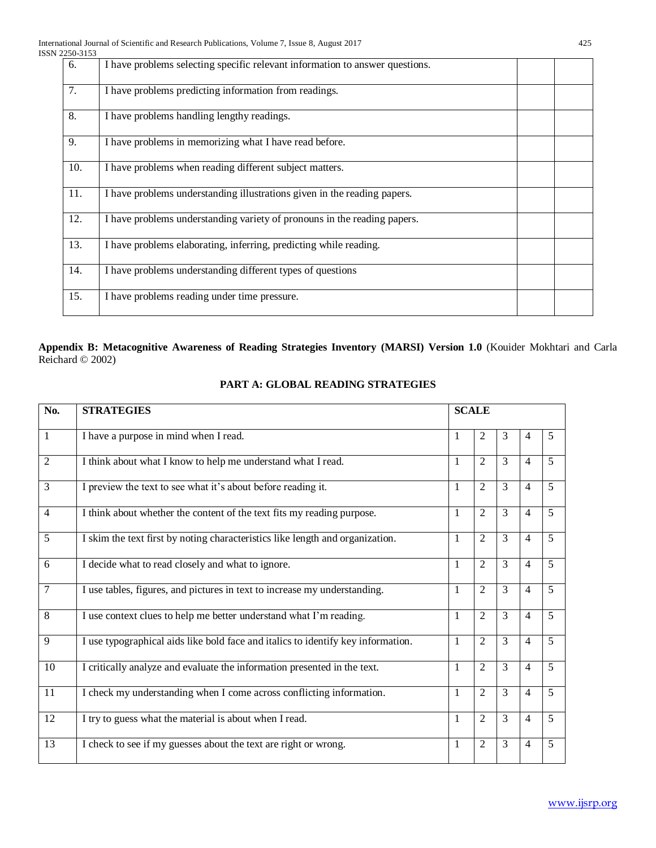| 22JU-JIJJ |                                                                              |  |
|-----------|------------------------------------------------------------------------------|--|
| 6.        | I have problems selecting specific relevant information to answer questions. |  |
| 7.        | I have problems predicting information from readings.                        |  |
| 8.        | I have problems handling lengthy readings.                                   |  |
| 9.        | I have problems in memorizing what I have read before.                       |  |
| 10.       | I have problems when reading different subject matters.                      |  |
| 11.       | I have problems understanding illustrations given in the reading papers.     |  |
| 12.       | I have problems understanding variety of pronouns in the reading papers.     |  |
| 13.       | I have problems elaborating, inferring, predicting while reading.            |  |
| 14.       | I have problems understanding different types of questions                   |  |
| 15.       | I have problems reading under time pressure.                                 |  |
|           |                                                                              |  |

## **Appendix B: Metacognitive Awareness of Reading Strategies Inventory (MARSI) Version 1.0** (Kouider Mokhtari and Carla Reichard © 2002)

| <b>STRATEGIES</b>                                                                |              |                |                |                |                |
|----------------------------------------------------------------------------------|--------------|----------------|----------------|----------------|----------------|
| I have a purpose in mind when I read.                                            | 1            | 2              | 3              | $\overline{4}$ | 5              |
| I think about what I know to help me understand what I read.                     | 1            | 2              | 3              | $\overline{4}$ | 5              |
| I preview the text to see what it's about before reading it.                     | 1            | 2              | 3              | $\overline{4}$ | 5              |
| I think about whether the content of the text fits my reading purpose.           | $\mathbf{1}$ | $\overline{2}$ | $\overline{3}$ | $\overline{4}$ | 5              |
| I skim the text first by noting characteristics like length and organization.    | $\mathbf{1}$ | $\overline{2}$ | 3              | $\overline{4}$ | 5              |
| I decide what to read closely and what to ignore.                                | 1            | 2              | $\overline{3}$ | $\overline{4}$ | 5              |
| I use tables, figures, and pictures in text to increase my understanding.        | 1            | 2              | 3              | $\overline{4}$ | 5              |
| I use context clues to help me better understand what I'm reading.               | 1            | 2              | 3              | $\overline{4}$ | $\overline{5}$ |
| I use typographical aids like bold face and italics to identify key information. | $\mathbf{1}$ | $\overline{2}$ | $\overline{3}$ | $\overline{4}$ | 5              |
| I critically analyze and evaluate the information presented in the text.         | 1            | $\overline{2}$ | 3              | $\overline{4}$ | $\overline{5}$ |
| I check my understanding when I come across conflicting information.             | $\mathbf{1}$ | $\overline{2}$ | $\overline{3}$ | $\overline{4}$ | $\overline{5}$ |
| I try to guess what the material is about when I read.                           | $\mathbf{1}$ | $\overline{2}$ | 3              | $\overline{4}$ | 5              |
| I check to see if my guesses about the text are right or wrong.                  | 1            | 2              | 3              | $\overline{4}$ | 5              |
|                                                                                  |              |                | <b>SCALE</b>   |                |                |

## **PART A: GLOBAL READING STRATEGIES**